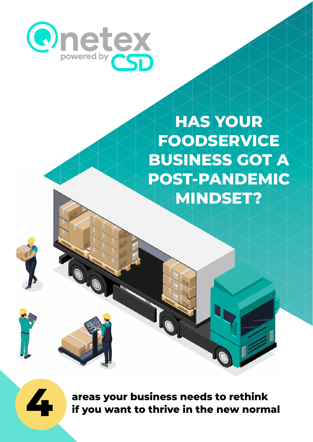

# **HAS YOUR FOODSERVICE BUSINESS GOT A POST-PANDEMIC MINDSET?**





**4**

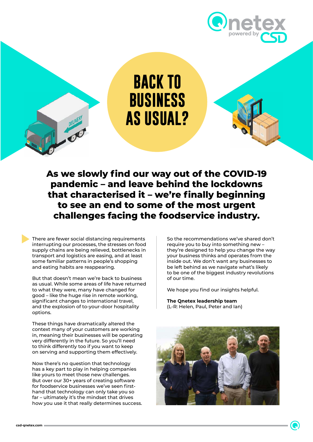

**BACK TO BUSINESS AS USUAL?**

**As we slowly find our way out of the COVID-19 pandemic – and leave behind the lockdowns that characterised it – we're finally beginning to see an end to some of the most urgent challenges facing the foodservice industry.**

There are fewer social distancing requirements interrupting our processes, the stresses on food supply chains are being relieved, bottlenecks in transport and logistics are easing, and at least some familiar patterns in people's shopping and eating habits are reappearing.

But that doesn't mean we're back to business as usual. While some areas of life have returned to what they were, many have changed for good – like the huge rise in remote working, significant changes to international travel, and the explosion of to-your-door hospitality options.

These things have dramatically altered the context many of your customers are working in, meaning their businesses will be operating very differently in the future. So you'll need to think differently too if you want to keep on serving and supporting them effectively.

Now there's no question that technology has a key part to play in helping companies like yours to meet those new challenges. But over our 30+ years of creating software for foodservice businesses we've seen firsthand that technology can only take you so far – ultimately it's the mindset that drives how you use it that really determines success. So the recommendations we've shared don't require you to buy into something new – they're designed to help you change the way your business thinks and operates from the inside out. We don't want any businesses to be left behind as we navigate what's likely to be one of the biggest industry revolutions of our time.

We hope you find our insights helpful.

**The Qnetex leadership team** (L-R: Helen, Paul, Peter and Ian)

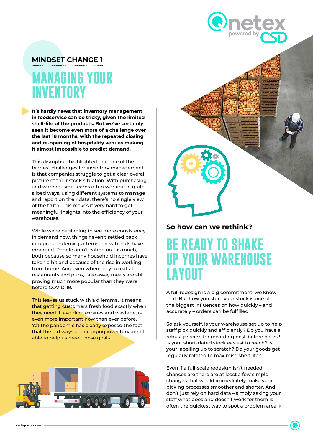#### **MINDSET CHANGE 1**

### **MANAGING YOUR INVENTORY**

**It's hardly news that inventory management in foodservice can be tricky, given the limited shelf-life of the products. But we've certainly seen it become even more of a challenge over the last 18 months, with the repeated closing and re-opening of hospitality venues making it almost impossible to predict demand.**

This disruption highlighted that one of the biggest challenges for inventory management is that companies struggle to get a clear overall picture of their stock situation. With purchasing and warehousing teams often working in quite siloed ways, using different systems to manage and report on their data, there's no single view of the truth. This makes it very hard to get meaningful insights into the efficiency of your warehouse.

While we're beginning to see more consistency in demand now, things haven't settled back into pre-pandemic patterns – new trends have emerged. People aren't eating out as much, both because so many household incomes have taken a hit and because of the rise in working from home. And even when they do eat at restaurants and pubs, take away meals are still proving much more popular than they were before COVID-19.

This leaves us stuck with a dilemma. It means that getting customers fresh food exactly when they need it, avoiding expiries and wastage, is even more important now than ever before. Yet the pandemic has clearly exposed the fact that the old ways of managing inventory aren't able to help us meet those goals.





#### **So how can we rethink?**

### **BE READY TO SHAKE UP YOUR WAREHOUSE LAYOUT**

A full redesign is a big commitment, we know that. But how you store your stock is one of the biggest influences on how quickly – and accurately – orders can be fulfilled.

So ask yourself, is your warehouse set up to help staff pick quickly and efficiently? Do you have a robust process for recording best-before dates? Is your short-dated stock easiest to reach? Is your labelling up to scratch? Do your goods get regularly rotated to maximise shelf life?

Even if a full-scale redesign isn't needed, chances are there are at least a few simple changes that would immediately make your picking processes smoother and shorter. And don't just rely on hard data – simply asking your staff what does and doesn't work for them is often the quickest way to spot a problem area.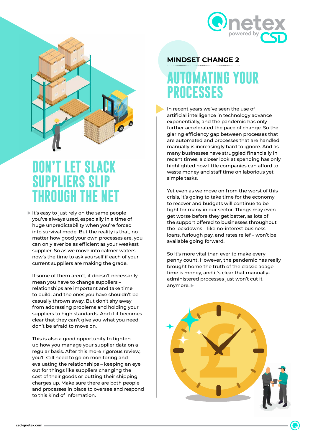



### **DON'T LET SLACK SUPPLIERS SLIP THROUGH THE NET**

It's easy to just rely on the same people you've always used, especially in a time of huge unpredictability when you're forced into survival mode. But the reality is that, no matter how good your own processes are, you can only ever be as efficient as your weakest supplier. So as we move into calmer waters, now's the time to ask yourself if each of your current suppliers are making the grade.

If some of them aren't, it doesn't necessarily mean you have to change suppliers – relationships are important and take time to build, and the ones you have shouldn't be casually thrown away. But don't shy away from addressing problems and holding your suppliers to high standards. And if it becomes clear that they can't give you what you need, don't be afraid to move on.

This is also a good opportunity to tighten up how you manage your supplier data on a regular basis. After this more rigorous review, you'll still need to go on monitoring and evaluating the relationships – keeping an eye out for things like suppliers changing the cost of their goods or putting their shipping charges up. Make sure there are both people and processes in place to oversee and respond to this kind of information.

#### **MINDSET CHANGE 2**

### **AUTOMATING YOUR PROCESSES**

In recent years we've seen the use of artificial intelligence in technology advance exponentially, and the pandemic has only further accelerated the pace of change. So the glaring efficiency gap between processes that are automated and processes that are handled manually is increasingly hard to ignore. And as many businesses have struggled financially in recent times, a closer look at spending has only highlighted how little companies can afford to waste money and staff time on laborious yet simple tasks.

Yet even as we move on from the worst of this crisis, it's going to take time for the economy to recover and budgets will continue to be tight for many in our sector. Things may even get worse before they get better, as lots of the support offered to businesses throughout the lockdowns – like no-interest business loans, furlough pay, and rates relief – won't be available going forward.

So it's more vital than ever to make every penny count. However, the pandemic has really brought home the truth of the classic adage time is money, and it's clear that manuallyadministered processes just won't cut it anymore.

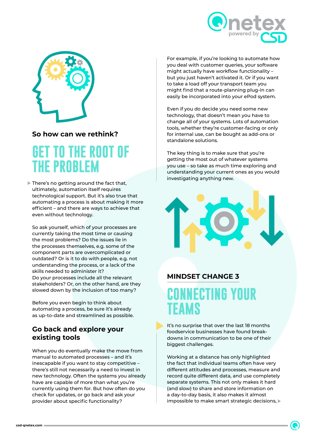



#### **So how can we rethink?**

## **GET TO THE ROOT OF THE PROBLEM**

There's no getting around the fact that, ultimately, automation itself requires technological support. But it's also true that automating a process is about making it more efficient – and there are ways to achieve that even without technology.

So ask yourself, which of your processes are currently taking the most time or causing the most problems? Do the issues lie in the processes themselves, e.g. some of the component parts are overcomplicated or outdated? Or is it to do with people, e.g. not understanding the process, or a lack of the skills needed to administer it? Do your processes include all the relevant stakeholders? Or, on the other hand, are they slowed down by the inclusion of too many?

Before you even begin to think about automating a process, be sure it's already as up-to-date and streamlined as possible.

#### **Go back and explore your existing tools**

When you do eventually make the move from manual to automated processes – and it's inescapable if you want to stay competitive – there's still not necessarily a need to invest in new technology. Often the systems you already have are capable of more than what you're currently using them for. But how often do you check for updates, or go back and ask your provider about specific functionality?

For example, if you're looking to automate how you deal with customer queries, your software might actually have workflow functionality – but you just haven't activated it. Or if you want to take a load off your transport team you might find that a route-planning plug-in can easily be incorporated into your ePod system.

Even if you do decide you need some new technology, that doesn't mean you have to change all of your systems. Lots of automation tools, whether they're customer-facing or only for internal use, can be bought as add-ons or standalone solutions.

The key thing is to make sure that you're getting the most out of whatever systems you use – so take as much time exploring and understanding your current ones as you would investigating anything new.



#### **MINDSET CHANGE 3**

# **NECTING YOUR TEAMS**

It's no surprise that over the last 18 months foodservice businesses have found breakdowns in communication to be one of their biggest challenges.

Working at a distance has only highlighted the fact that individual teams often have very different attitudes and processes, measure and record quite different data, and use completely separate systems. This not only makes it hard (and slow) to share and store information on a day-to-day basis, it also makes it almost impossible to make smart strategic decisions,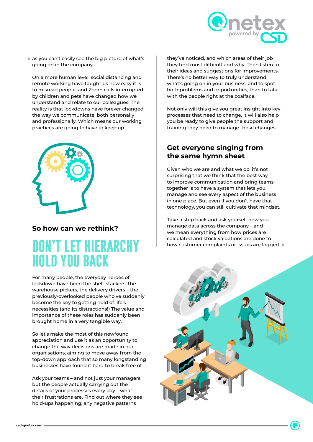

as you can't easily see the big picture of what's going on in the company.

On a more human level, social distancing and remote working have taught us how easy it is to misread people, and Zoom calls interrupted by children and pets have changed how we understand and relate to our colleagues. The reality is that lockdowns have forever changed the way we communicate, both personally and professionally. Which means our working practices are going to have to keep up.



#### **So how can we rethink?**

## **DON'T LET HIERARCHY HOLD YOU BACK**

For many people, the everyday heroes of lockdown have been the shelf-stackers, the warehouse pickers, the delivery drivers – the previously-overlooked people who've suddenly become the key to getting hold of life's necessities (and its distractions!) The value and importance of these roles has suddenly been brought home in a very tangible way.

So let's make the most of this newfound appreciation and use it as an opportunity to change the way decisions are made in our organisations, aiming to move away from the top-down approach that so many longstanding businesses have found it hard to break free of.

Ask your teams – and not just your managers, but the people actually carrying out the details of your processes every day – what their frustrations are. Find out where they see hold-ups happening, any negative patterns

they've noticed, and which areas of their job they find most difficult and why. Then listen to their ideas and suggestions for improvements. There's no better way to truly understand what's going on in your business, and to spot both problems and opportunities, than to talk with the people right at the coalface.

Not only will this give you great insight into key processes that need to change, it will also help you be ready to give people the support and training they need to manage those changes.

#### **Get everyone singing from the same hymn sheet**

Given who we are and what we do, it's not surprising that we think that the best way to improve communication and bring teams together is to have a system that lets you manage and see every aspect of the business in one place. But even if you don't have that technology, you can still cultivate that mindset.

Take a step back and ask yourself how you manage data across the company – and we mean everything from how prices are calculated and stock valuations are done to how customer complaints or issues are logged.

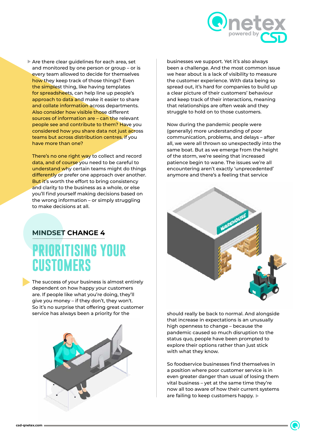

Are there clear quidelines for each area, set and monitored by one person or group – or is every team allowed to decide for themselves how they keep track of those things? Even the simplest thing, like having templates for spreadsheets, can help line up people's approach to data and make it easier to share and collate information across departments. Also consider how visible those different sources of information are – can the relevant people see and contribute to them? Have you considered how you share data not just across teams but across distribution centres, if you have more than one?

There's no one right way to collect and record data, and of course you need to be careful to understand why certain teams might do things differently or prefer one approach over another. But it's worth the effort to bring consistency and clarity to the business as a whole, or else you'll find yourself making decisions based on the wrong information – or simply struggling to make decisions at all.

#### **MINDSET CHANGE 4**

## **PRIORITISING YOUR CUSTOMERS**

The success of your business is almost entirely dependent on how happy your customers are. If people like what you're doing, they'll give you money – if they don't, they won't. So it's no surprise that offering great customer service has always been a priority for the



businesses we support. Yet it's also always been a challenge. And the most common issue we hear about is a lack of visibility to measure the customer experience. With data being so spread out, it's hard for companies to build up a clear picture of their customers' behaviour and keep track of their interactions, meaning that relationships are often weak and they struggle to hold on to those customers.

Now during the pandemic people were (generally) more understanding of poor communication, problems, and delays – after all, we were all thrown so unexpectedly into the same boat. But as we emerge from the height of the storm, we're seeing that increased patience begin to wane. The issues we're all encountering aren't exactly 'unprecedented' anymore and there's a feeling that service



should really be back to normal. And alongside that increase in expectations is an unusually high openness to change – because the pandemic caused so much disruption to the status quo, people have been prompted to explore their options rather than just stick with what they know.

So foodservice businesses find themselves in a position where poor customer service is in even greater danger than usual of losing them vital business – yet at the same time they're now all too aware of how their current systems are failing to keep customers happy.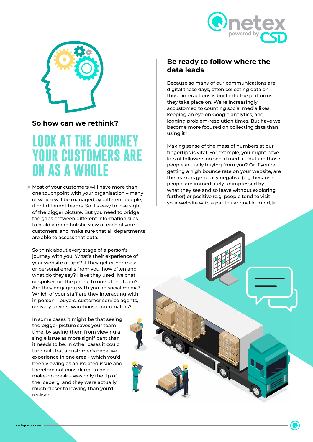



#### **So how can we rethink?**

### **LOOK AT THE JOURNEY YOUR CUSTOMERS ARE ON AS A WHOLE**

Most of your customers will have more than one touchpoint with your organisation – many of which will be managed by different people, if not different teams. So it's easy to lose sight of the bigger picture. But you need to bridge the gaps between different information silos to build a more holistic view of each of your customers, and make sure that all departments are able to access that data.

So think about every stage of a person's journey with you. What's their experience of your website or app? If they get either mass or personal emails from you, how often and what do they say? Have they used live chat or spoken on the phone to one of the team? Are they engaging with you on social media? Which of your staff are they interacting with in person – buyers, customer service agents, delivery drivers, warehouse coordinators?

In some cases it might be that seeing the bigger picture saves your team time, by saving them from viewing a single issue as more significant than it needs to be. In other cases it could turn out that a customer's negative experience in one area – which you'd been viewing as an isolated issue and therefore not considered to be a make-or-break – was only the tip of the iceberg, and they were actually much closer to leaving than you'd realised.

#### **Be ready to follow where the data leads**

Because so many of our communications are digital these days, often collecting data on those interactions is built into the platforms they take place on. We're increasingly accustomed to counting social media likes, keeping an eye on Google analytics, and logging problem-resolution times. But have we become more focused on collecting data than using it?

Making sense of the mass of numbers at our fingertips is vital. For example, you might have lots of followers on social media – but are those people actually buying from you? Or if you're getting a high bounce rate on your website, are the reasons generally negative (e.g. because people are immediately unimpressed by what they see and so leave without exploring further) or positive (e.g. people tend to visit your website with a particular goal in mind,